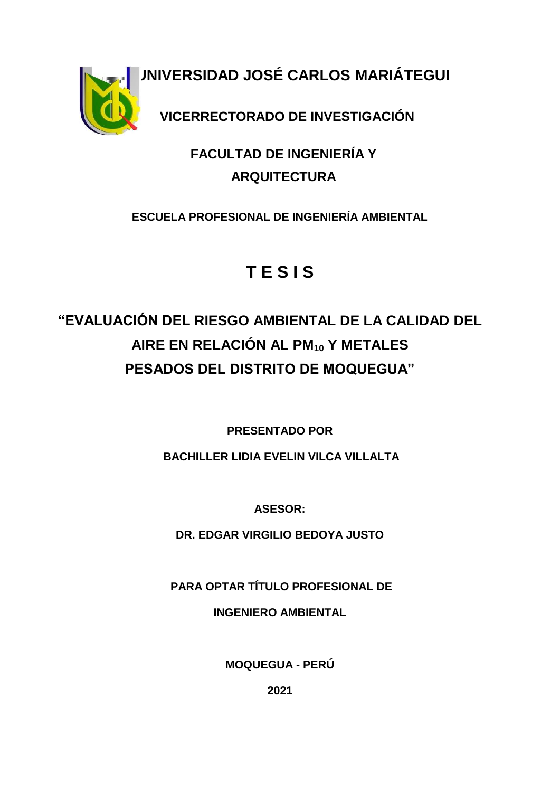**UNIVERSIDAD JOSÉ CARLOS MARIÁTEGUI VICERRECTORADO DE INVESTIGACIÓN**

### **FACULTAD DE INGENIERÍA Y ARQUITECTURA**

**ESCUELA PROFESIONAL DE INGENIERÍA AMBIENTAL**

# **T E S I S**

## **"EVALUACIÓN DEL RIESGO AMBIENTAL DE LA CALIDAD DEL AIRE EN RELACIÓN AL PM<sup>10</sup> Y METALES PESADOS DEL DISTRITO DE MOQUEGUA"**

**PRESENTADO POR**

**BACHILLER LIDIA EVELIN VILCA VILLALTA**

**ASESOR:**

**DR. EDGAR VIRGILIO BEDOYA JUSTO**

**PARA OPTAR TÍTULO PROFESIONAL DE** 

**INGENIERO AMBIENTAL**

**MOQUEGUA - PERÚ**

**2021**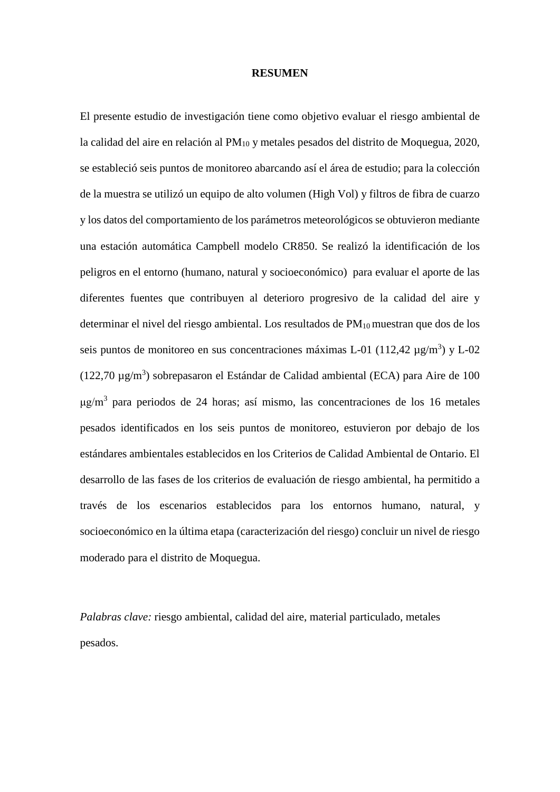#### **RESUMEN**

El presente estudio de investigación tiene como objetivo evaluar el riesgo ambiental de la calidad del aire en relación al PM<sub>10</sub> y metales pesados del distrito de Moquegua, 2020, se estableció seis puntos de monitoreo abarcando así el área de estudio; para la colección de la muestra se utilizó un equipo de alto volumen (High Vol) y filtros de fibra de cuarzo y los datos del comportamiento de los parámetros meteorológicos se obtuvieron mediante una estación automática Campbell modelo CR850. Se realizó la identificación de los peligros en el entorno (humano, natural y socioeconómico) para evaluar el aporte de las diferentes fuentes que contribuyen al deterioro progresivo de la calidad del aire y determinar el nivel del riesgo ambiental. Los resultados de  $PM_{10}$  muestran que dos de los seis puntos de monitoreo en sus concentraciones máximas L-01 (112,42  $\mu$ g/m<sup>3</sup>) y L-02  $(122,70 \text{ µg/m}^3)$  sobrepasaron el Estándar de Calidad ambiental (ECA) para Aire de 100 μg/m<sup>3</sup> para periodos de 24 horas; así mismo, las concentraciones de los 16 metales pesados identificados en los seis puntos de monitoreo, estuvieron por debajo de los estándares ambientales establecidos en los Criterios de Calidad Ambiental de Ontario. El desarrollo de las fases de los criterios de evaluación de riesgo ambiental, ha permitido a través de los escenarios establecidos para los entornos humano, natural, y socioeconómico en la última etapa (caracterización del riesgo) concluir un nivel de riesgo moderado para el distrito de Moquegua.

*Palabras clave:* riesgo ambiental, calidad del aire, material particulado, metales pesados.